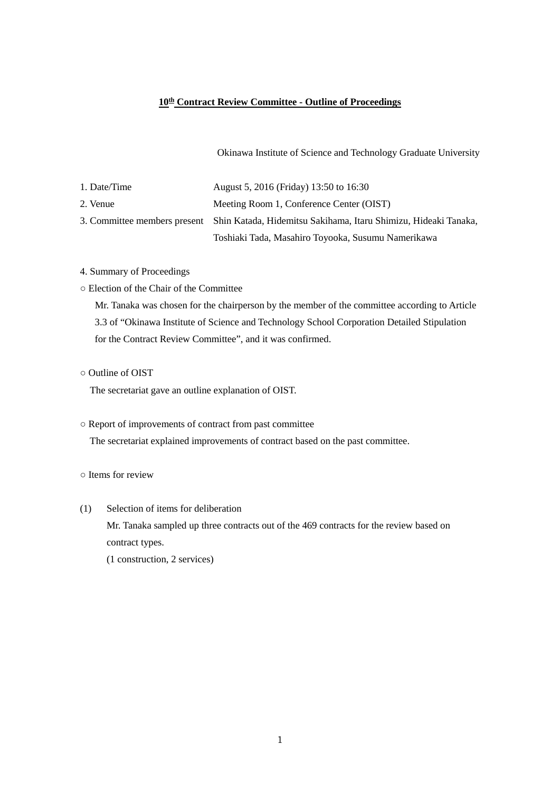#### **10th Contract Review Committee - Outline of Proceedings**

Okinawa Institute of Science and Technology Graduate University

| 1. Date/Time | August 5, 2016 (Friday) 13:50 to 16:30                                                       |
|--------------|----------------------------------------------------------------------------------------------|
| 2. Venue     | Meeting Room 1, Conference Center (OIST)                                                     |
|              | 3. Committee members present Shin Katada, Hidemitsu Sakihama, Itaru Shimizu, Hideaki Tanaka, |
|              | Toshiaki Tada, Masahiro Toyooka, Susumu Namerikawa                                           |

- 4. Summary of Proceedings
- Election of the Chair of the Committee

Mr. Tanaka was chosen for the chairperson by the member of the committee according to Article 3.3 of "Okinawa Institute of Science and Technology School Corporation Detailed Stipulation for the Contract Review Committee", and it was confirmed.

○ Outline of OIST

The secretariat gave an outline explanation of OIST.

- Report of improvements of contract from past committee The secretariat explained improvements of contract based on the past committee.
- Items for review
- (1) Selection of items for deliberation Mr. Tanaka sampled up three contracts out of the 469 contracts for the review based on contract types.

(1 construction, 2 services)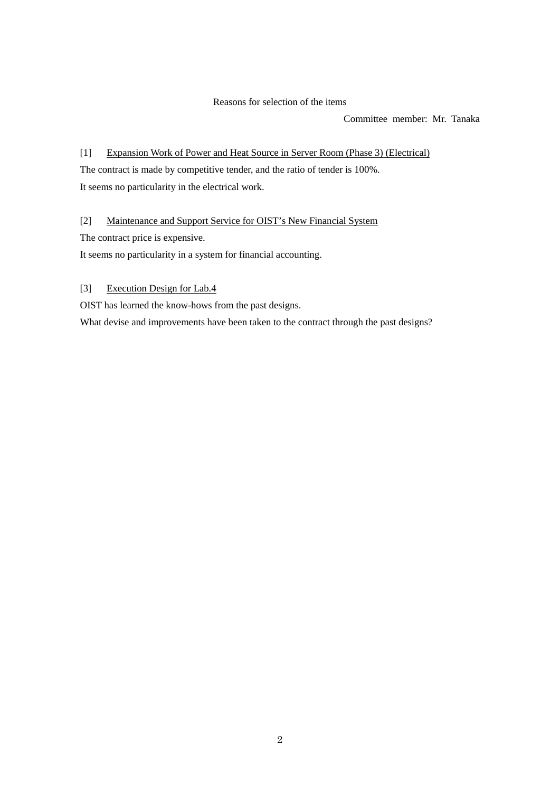#### Reasons for selection of the items

Committee member: Mr. Tanaka

[1] Expansion Work of Power and Heat Source in Server Room (Phase 3) (Electrical) The contract is made by competitive tender, and the ratio of tender is 100%. It seems no particularity in the electrical work.

[2] Maintenance and Support Service for OIST's New Financial System

The contract price is expensive.

It seems no particularity in a system for financial accounting.

[3] Execution Design for Lab.4

OIST has learned the know-hows from the past designs.

What devise and improvements have been taken to the contract through the past designs?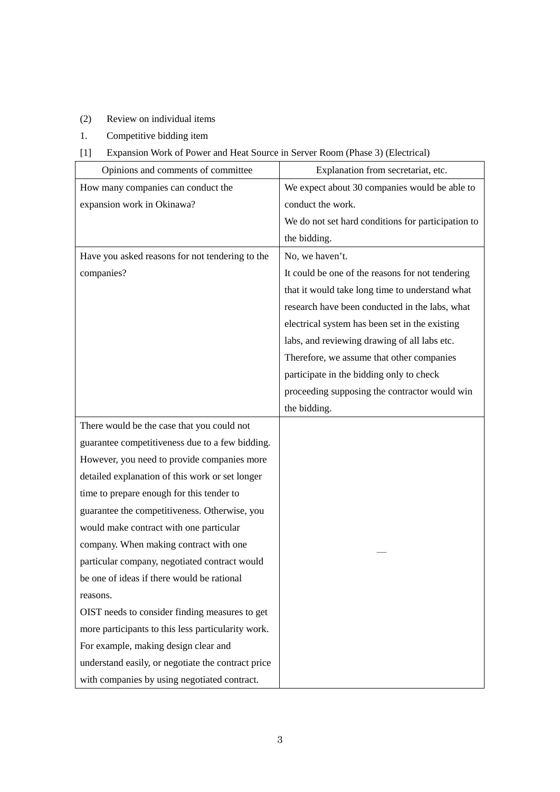### (2) Review on individual items

1. Competitive bidding item

## [1] Expansion Work of Power and Heat Source in Server Room (Phase 3) (Electrical)

| Opinions and comments of committee                 | Explanation from secretariat, etc.                 |
|----------------------------------------------------|----------------------------------------------------|
| How many companies can conduct the                 | We expect about 30 companies would be able to      |
| expansion work in Okinawa?                         | conduct the work.                                  |
|                                                    | We do not set hard conditions for participation to |
|                                                    | the bidding.                                       |
| Have you asked reasons for not tendering to the    | No, we haven't.                                    |
| companies?                                         | It could be one of the reasons for not tendering   |
|                                                    | that it would take long time to understand what    |
|                                                    | research have been conducted in the labs, what     |
|                                                    | electrical system has been set in the existing     |
|                                                    | labs, and reviewing drawing of all labs etc.       |
|                                                    | Therefore, we assume that other companies          |
|                                                    | participate in the bidding only to check           |
|                                                    | proceeding supposing the contractor would win      |
|                                                    | the bidding.                                       |
| There would be the case that you could not         |                                                    |
| guarantee competitiveness due to a few bidding.    |                                                    |
| However, you need to provide companies more        |                                                    |
| detailed explanation of this work or set longer    |                                                    |
| time to prepare enough for this tender to          |                                                    |
| guarantee the competitiveness. Otherwise, you      |                                                    |
| would make contract with one particular            |                                                    |
| company. When making contract with one             |                                                    |
| particular company, negotiated contract would      |                                                    |
| be one of ideas if there would be rational         |                                                    |
| reasons.                                           |                                                    |
| OIST needs to consider finding measures to get     |                                                    |
| more participants to this less particularity work. |                                                    |
| For example, making design clear and               |                                                    |
| understand easily, or negotiate the contract price |                                                    |
| with companies by using negotiated contract.       |                                                    |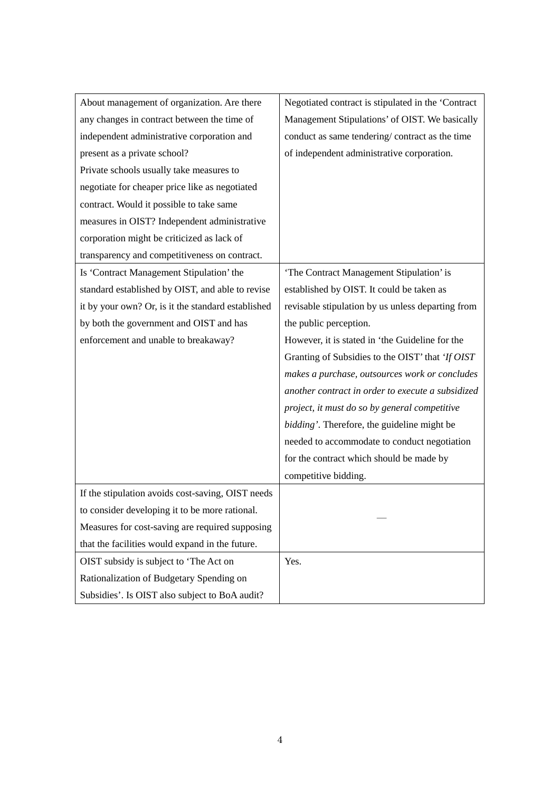| About management of organization. Are there        | Negotiated contract is stipulated in the 'Contract |
|----------------------------------------------------|----------------------------------------------------|
| any changes in contract between the time of        | Management Stipulations' of OIST. We basically     |
| independent administrative corporation and         | conduct as same tendering/contract as the time     |
| present as a private school?                       | of independent administrative corporation.         |
| Private schools usually take measures to           |                                                    |
| negotiate for cheaper price like as negotiated     |                                                    |
| contract. Would it possible to take same           |                                                    |
| measures in OIST? Independent administrative       |                                                    |
| corporation might be criticized as lack of         |                                                    |
| transparency and competitiveness on contract.      |                                                    |
| Is 'Contract Management Stipulation' the           | 'The Contract Management Stipulation' is           |
| standard established by OIST, and able to revise   | established by OIST. It could be taken as          |
| it by your own? Or, is it the standard established | revisable stipulation by us unless departing from  |
| by both the government and OIST and has            | the public perception.                             |
| enforcement and unable to breakaway?               | However, it is stated in 'the Guideline for the    |
|                                                    | Granting of Subsidies to the OIST' that 'If OIST   |
|                                                    | makes a purchase, outsources work or concludes     |
|                                                    | another contract in order to execute a subsidized  |
|                                                    | project, it must do so by general competitive      |
|                                                    | bidding'. Therefore, the guideline might be        |
|                                                    | needed to accommodate to conduct negotiation       |
|                                                    | for the contract which should be made by           |
|                                                    | competitive bidding.                               |
| If the stipulation avoids cost-saving, OIST needs  |                                                    |
| to consider developing it to be more rational.     |                                                    |
| Measures for cost-saving are required supposing    |                                                    |
| that the facilities would expand in the future.    |                                                    |
| OIST subsidy is subject to 'The Act on             | Yes.                                               |
| Rationalization of Budgetary Spending on           |                                                    |
| Subsidies'. Is OIST also subject to BoA audit?     |                                                    |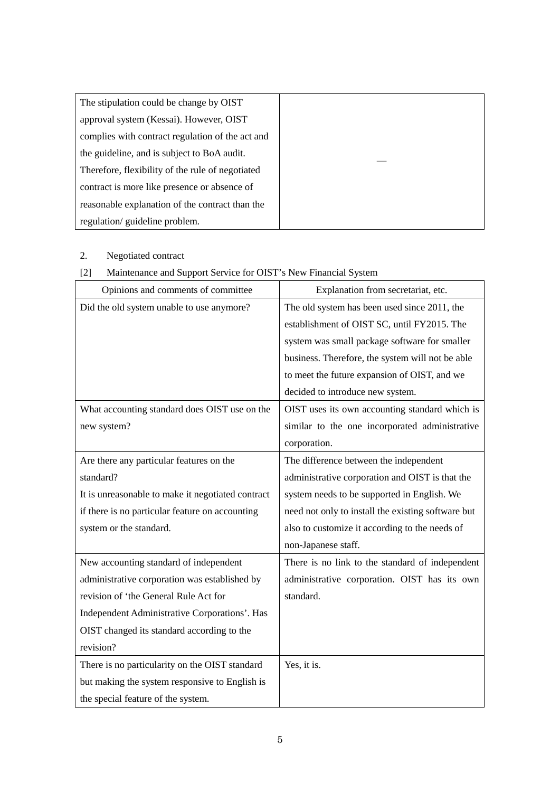| The stipulation could be change by OIST          |  |
|--------------------------------------------------|--|
| approval system (Kessai). However, OIST          |  |
| complies with contract regulation of the act and |  |
| the guideline, and is subject to BoA audit.      |  |
| Therefore, flexibility of the rule of negotiated |  |
| contract is more like presence or absence of     |  |
| reasonable explanation of the contract than the  |  |
| regulation/guideline problem.                    |  |

# 2. Negotiated contract

## [2] Maintenance and Support Service for OIST's New Financial System

| Opinions and comments of committee                | Explanation from secretariat, etc.                 |
|---------------------------------------------------|----------------------------------------------------|
| Did the old system unable to use anymore?         | The old system has been used since 2011, the       |
|                                                   | establishment of OIST SC, until FY2015. The        |
|                                                   | system was small package software for smaller      |
|                                                   | business. Therefore, the system will not be able   |
|                                                   | to meet the future expansion of OIST, and we       |
|                                                   | decided to introduce new system.                   |
| What accounting standard does OIST use on the     | OIST uses its own accounting standard which is     |
| new system?                                       | similar to the one incorporated administrative     |
|                                                   | corporation.                                       |
| Are there any particular features on the          | The difference between the independent             |
| standard?                                         | administrative corporation and OIST is that the    |
| It is unreasonable to make it negotiated contract | system needs to be supported in English. We        |
| if there is no particular feature on accounting   | need not only to install the existing software but |
| system or the standard.                           | also to customize it according to the needs of     |
|                                                   | non-Japanese staff.                                |
| New accounting standard of independent            | There is no link to the standard of independent    |
| administrative corporation was established by     | administrative corporation. OIST has its own       |
| revision of 'the General Rule Act for             | standard.                                          |
| Independent Administrative Corporations'. Has     |                                                    |
| OIST changed its standard according to the        |                                                    |
| revision?                                         |                                                    |
| There is no particularity on the OIST standard    | Yes, it is.                                        |
| but making the system responsive to English is    |                                                    |
| the special feature of the system.                |                                                    |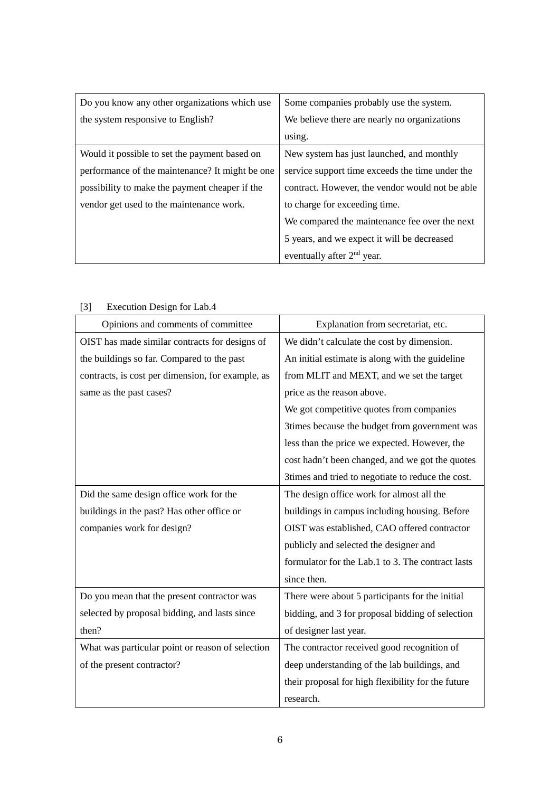| Do you know any other organizations which use   | Some companies probably use the system.         |
|-------------------------------------------------|-------------------------------------------------|
| the system responsive to English?               | We believe there are nearly no organizations    |
|                                                 | using.                                          |
| Would it possible to set the payment based on   | New system has just launched, and monthly       |
| performance of the maintenance? It might be one | service support time exceeds the time under the |
| possibility to make the payment cheaper if the  | contract. However, the vendor would not be able |
| vendor get used to the maintenance work.        | to charge for exceeding time.                   |
|                                                 | We compared the maintenance fee over the next   |
|                                                 | 5 years, and we expect it will be decreased     |
|                                                 | eventually after 2 <sup>nd</sup> year.          |

| Opinions and comments of committee                | Explanation from secretariat, etc.                 |
|---------------------------------------------------|----------------------------------------------------|
| OIST has made similar contracts for designs of    | We didn't calculate the cost by dimension.         |
| the buildings so far. Compared to the past        | An initial estimate is along with the guideline    |
| contracts, is cost per dimension, for example, as | from MLIT and MEXT, and we set the target          |
| same as the past cases?                           | price as the reason above.                         |
|                                                   | We got competitive quotes from companies           |
|                                                   | 3times because the budget from government was      |
|                                                   | less than the price we expected. However, the      |
|                                                   | cost hadn't been changed, and we got the quotes    |
|                                                   | 3times and tried to negotiate to reduce the cost.  |
| Did the same design office work for the           | The design office work for almost all the          |
| buildings in the past? Has other office or        | buildings in campus including housing. Before      |
| companies work for design?                        | OIST was established, CAO offered contractor       |
|                                                   | publicly and selected the designer and             |
|                                                   | formulator for the Lab.1 to 3. The contract lasts  |
|                                                   | since then.                                        |
| Do you mean that the present contractor was       | There were about 5 participants for the initial    |
| selected by proposal bidding, and lasts since     | bidding, and 3 for proposal bidding of selection   |
| then?                                             | of designer last year.                             |
| What was particular point or reason of selection  | The contractor received good recognition of        |
| of the present contractor?                        | deep understanding of the lab buildings, and       |
|                                                   | their proposal for high flexibility for the future |
|                                                   | research.                                          |

#### [3] Execution Design for Lab.4